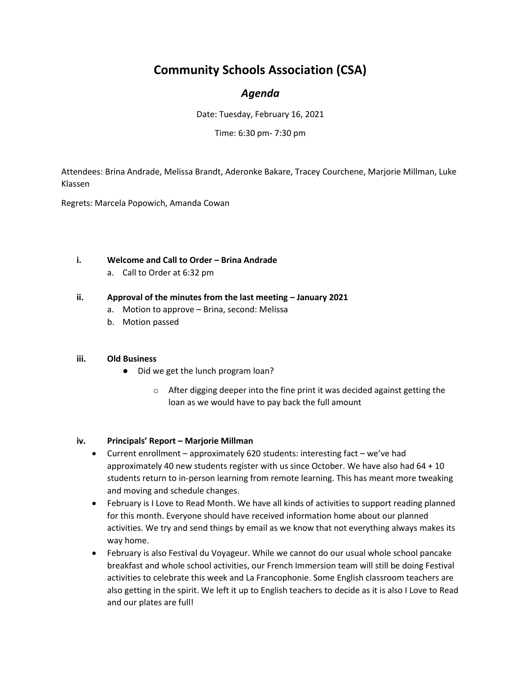# **Community Schools Association (CSA)**

## *Agenda*

Date: Tuesday, February 16, 2021

Time: 6:30 pm- 7:30 pm

Attendees: Brina Andrade, Melissa Brandt, Aderonke Bakare, Tracey Courchene, Marjorie Millman, Luke Klassen

Regrets: Marcela Popowich, Amanda Cowan

### **i. Welcome and Call to Order – Brina Andrade**

a. Call to Order at 6:32 pm

### **ii. Approval of the minutes from the last meeting – January 2021**

- a. Motion to approve Brina, second: Melissa
- b. Motion passed

#### **iii. Old Business**

- Did we get the lunch program loan?
	- $\circ$  After digging deeper into the fine print it was decided against getting the loan as we would have to pay back the full amount

### **iv. Principals' Report – Marjorie Millman**

- Current enrollment approximately 620 students: interesting fact we've had approximately 40 new students register with us since October. We have also had 64 + 10 students return to in-person learning from remote learning. This has meant more tweaking and moving and schedule changes.
- February is I Love to Read Month. We have all kinds of activities to support reading planned for this month. Everyone should have received information home about our planned activities. We try and send things by email as we know that not everything always makes its way home.
- February is also Festival du Voyageur. While we cannot do our usual whole school pancake breakfast and whole school activities, our French Immersion team will still be doing Festival activities to celebrate this week and La Francophonie. Some English classroom teachers are also getting in the spirit. We left it up to English teachers to decide as it is also I Love to Read and our plates are full!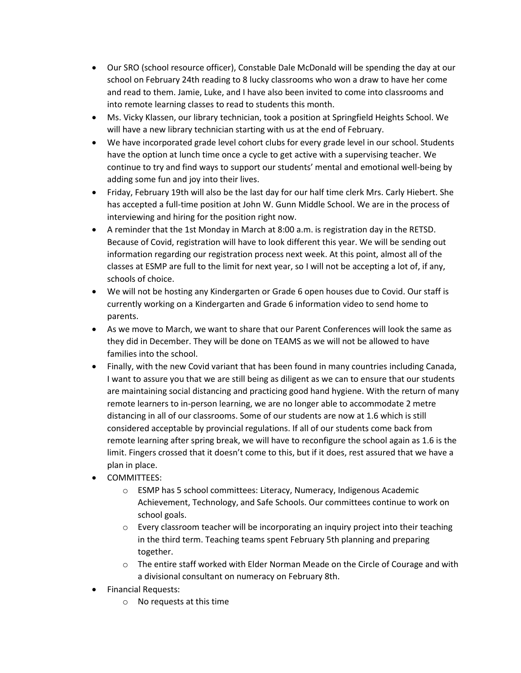- Our SRO (school resource officer), Constable Dale McDonald will be spending the day at our school on February 24th reading to 8 lucky classrooms who won a draw to have her come and read to them. Jamie, Luke, and I have also been invited to come into classrooms and into remote learning classes to read to students this month.
- Ms. Vicky Klassen, our library technician, took a position at Springfield Heights School. We will have a new library technician starting with us at the end of February.
- We have incorporated grade level cohort clubs for every grade level in our school. Students have the option at lunch time once a cycle to get active with a supervising teacher. We continue to try and find ways to support our students' mental and emotional well-being by adding some fun and joy into their lives.
- Friday, February 19th will also be the last day for our half time clerk Mrs. Carly Hiebert. She has accepted a full-time position at John W. Gunn Middle School. We are in the process of interviewing and hiring for the position right now.
- A reminder that the 1st Monday in March at 8:00 a.m. is registration day in the RETSD. Because of Covid, registration will have to look different this year. We will be sending out information regarding our registration process next week. At this point, almost all of the classes at ESMP are full to the limit for next year, so I will not be accepting a lot of, if any, schools of choice.
- We will not be hosting any Kindergarten or Grade 6 open houses due to Covid. Our staff is currently working on a Kindergarten and Grade 6 information video to send home to parents.
- As we move to March, we want to share that our Parent Conferences will look the same as they did in December. They will be done on TEAMS as we will not be allowed to have families into the school.
- Finally, with the new Covid variant that has been found in many countries including Canada, I want to assure you that we are still being as diligent as we can to ensure that our students are maintaining social distancing and practicing good hand hygiene. With the return of many remote learners to in-person learning, we are no longer able to accommodate 2 metre distancing in all of our classrooms. Some of our students are now at 1.6 which is still considered acceptable by provincial regulations. If all of our students come back from remote learning after spring break, we will have to reconfigure the school again as 1.6 is the limit. Fingers crossed that it doesn't come to this, but if it does, rest assured that we have a plan in place.
- COMMITTEES:
	- o ESMP has 5 school committees: Literacy, Numeracy, Indigenous Academic Achievement, Technology, and Safe Schools. Our committees continue to work on school goals.
	- o Every classroom teacher will be incorporating an inquiry project into their teaching in the third term. Teaching teams spent February 5th planning and preparing together.
	- $\circ$  The entire staff worked with Elder Norman Meade on the Circle of Courage and with a divisional consultant on numeracy on February 8th.
- Financial Requests:
	- o No requests at this time